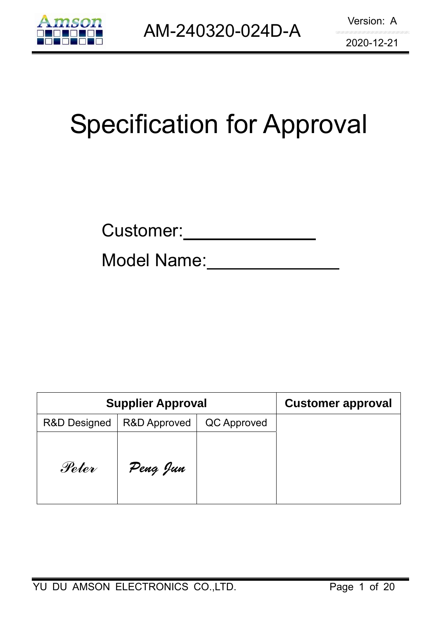

# Specification for Approval

| Customer: |
|-----------|
|           |

Model Name:

|                         | <b>Supplier Approval</b> | <b>Customer approval</b> |  |
|-------------------------|--------------------------|--------------------------|--|
| <b>R&amp;D Designed</b> | <b>R&amp;D Approved</b>  | QC Approved              |  |
| Peter                   | Peng Jun                 |                          |  |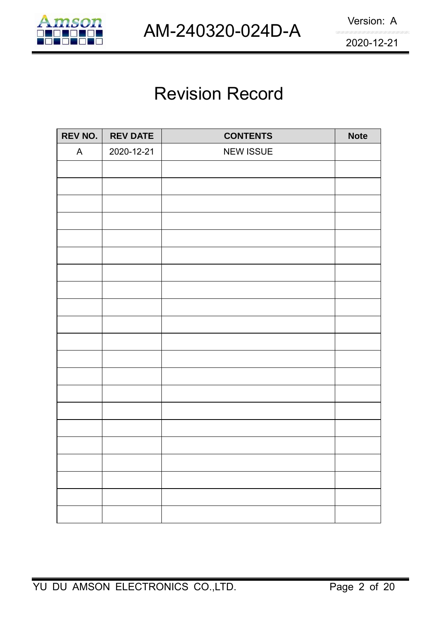

## Revision Record

| REV NO. | <b>REV DATE</b> | <b>CONTENTS</b>  | <b>Note</b> |
|---------|-----------------|------------------|-------------|
| A       | 2020-12-21      | <b>NEW ISSUE</b> |             |
|         |                 |                  |             |
|         |                 |                  |             |
|         |                 |                  |             |
|         |                 |                  |             |
|         |                 |                  |             |
|         |                 |                  |             |
|         |                 |                  |             |
|         |                 |                  |             |
|         |                 |                  |             |
|         |                 |                  |             |
|         |                 |                  |             |
|         |                 |                  |             |
|         |                 |                  |             |
|         |                 |                  |             |
|         |                 |                  |             |
|         |                 |                  |             |
|         |                 |                  |             |
|         |                 |                  |             |
|         |                 |                  |             |
|         |                 |                  |             |
|         |                 |                  |             |
|         |                 |                  |             |
|         |                 |                  |             |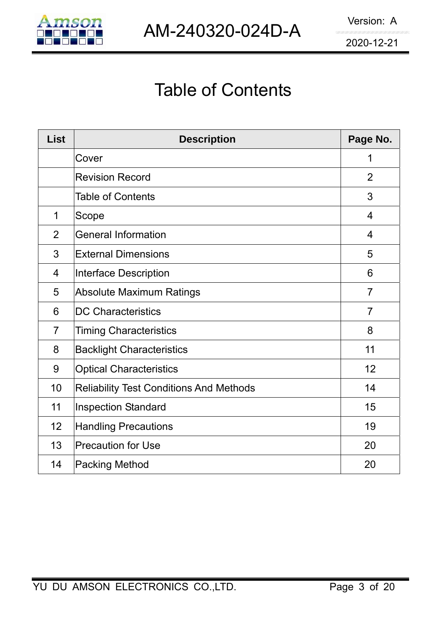

## Table of Contents

| <b>List</b>    | <b>Description</b>                             | Page No.       |
|----------------|------------------------------------------------|----------------|
|                | Cover                                          | 1              |
|                | <b>Revision Record</b>                         | 2              |
|                | <b>Table of Contents</b>                       | 3              |
| 1              | Scope                                          | $\overline{4}$ |
| $\overline{2}$ | <b>General Information</b>                     | $\overline{4}$ |
| 3              | <b>External Dimensions</b>                     | 5              |
| $\overline{4}$ | Interface Description                          | 6              |
| 5              | <b>Absolute Maximum Ratings</b>                | $\overline{7}$ |
| 6              | <b>DC Characteristics</b>                      | $\overline{7}$ |
| $\overline{7}$ | <b>Timing Characteristics</b>                  | 8              |
| 8              | <b>Backlight Characteristics</b>               | 11             |
| 9              | <b>Optical Characteristics</b>                 | 12             |
| 10             | <b>Reliability Test Conditions And Methods</b> | 14             |
| 11             | <b>Inspection Standard</b>                     | 15             |
| 12             | <b>Handling Precautions</b>                    | 19             |
| 13             | <b>Precaution for Use</b>                      | 20             |
| 14             | <b>Packing Method</b>                          | 20             |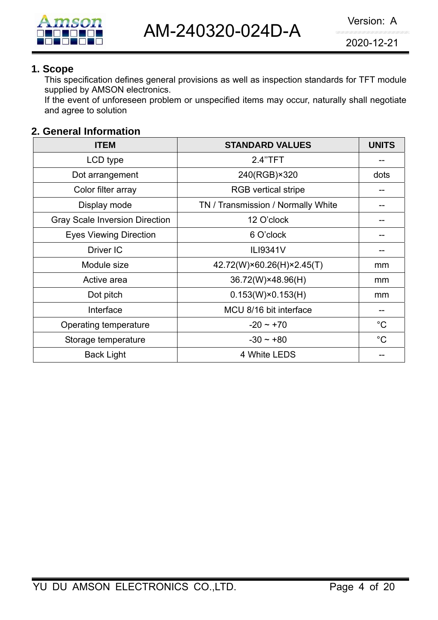

### **1. Scope**

This specification defines general provisions as well as inspection standards for TFT module supplied by AMSON electronics.

If the event of unforeseen problem or unspecified items may occur, naturally shall negotiate and agree to solution

### **2. General Information**

| <b>ITEM</b>                           | <b>STANDARD VALUES</b>             | <b>UNITS</b> |
|---------------------------------------|------------------------------------|--------------|
| LCD type                              | 2.4"TFT                            |              |
| Dot arrangement                       | 240(RGB)×320                       | dots         |
| Color filter array                    | <b>RGB</b> vertical stripe         |              |
| Display mode                          | TN / Transmission / Normally White |              |
| <b>Gray Scale Inversion Direction</b> | 12 O'clock                         |              |
| <b>Eyes Viewing Direction</b>         | 6 O'clock                          |              |
| Driver IC                             | ILI9341V                           |              |
| Module size                           | 42.72(W)×60.26(H)×2.45(T)          | mm           |
| Active area                           | 36.72(W)×48.96(H)                  | mm           |
| Dot pitch                             | $0.153(W)\times 0.153(H)$          | mm           |
| Interface                             | MCU 8/16 bit interface             |              |
| Operating temperature                 | $-20 \sim +70$                     | $^{\circ}$ C |
| Storage temperature                   | $-30 \sim +80$                     | $^{\circ}C$  |
| <b>Back Light</b>                     | 4 White LEDS                       |              |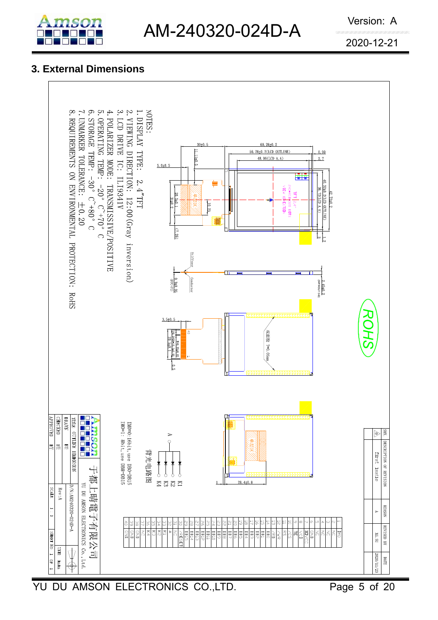

### **3. External Dimensions**



YU DU AMSON ELECTRONICS CO.,LTD. Page 5 of 20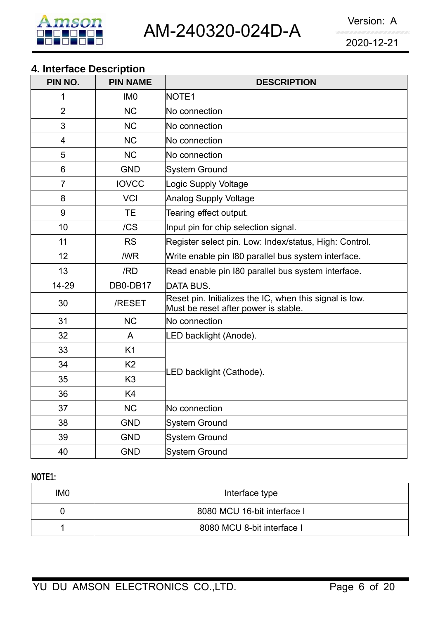

### **4. Interface Description**

| PIN NO.        | <b>PIN NAME</b> | <b>DESCRIPTION</b>                                                                              |  |  |  |  |
|----------------|-----------------|-------------------------------------------------------------------------------------------------|--|--|--|--|
| 1              | IM <sub>0</sub> | NOTE <sub>1</sub>                                                                               |  |  |  |  |
| $\overline{2}$ | <b>NC</b>       | No connection                                                                                   |  |  |  |  |
| 3              | <b>NC</b>       | No connection                                                                                   |  |  |  |  |
| 4              | <b>NC</b>       | No connection                                                                                   |  |  |  |  |
| 5              | <b>NC</b>       | No connection                                                                                   |  |  |  |  |
| 6              | <b>GND</b>      | System Ground                                                                                   |  |  |  |  |
| $\overline{7}$ | <b>IOVCC</b>    | Logic Supply Voltage                                                                            |  |  |  |  |
| 8              | <b>VCI</b>      | Analog Supply Voltage                                                                           |  |  |  |  |
| 9              | TE              | Tearing effect output.                                                                          |  |  |  |  |
| 10             | /CS             | Input pin for chip selection signal.                                                            |  |  |  |  |
| 11             | <b>RS</b>       | Register select pin. Low: Index/status, High: Control.                                          |  |  |  |  |
| 12             | /WR             | Write enable pin 180 parallel bus system interface.                                             |  |  |  |  |
| 13             | /RD             | Read enable pin 180 parallel bus system interface.                                              |  |  |  |  |
| 14-29          | DB0-DB17        | DATA BUS.                                                                                       |  |  |  |  |
| 30             | /RESET          | Reset pin. Initializes the IC, when this signal is low.<br>Must be reset after power is stable. |  |  |  |  |
| 31             | <b>NC</b>       | No connection                                                                                   |  |  |  |  |
| 32             | A               | LED backlight (Anode).                                                                          |  |  |  |  |
| 33             | K <sub>1</sub>  |                                                                                                 |  |  |  |  |
| 34             | K <sub>2</sub>  |                                                                                                 |  |  |  |  |
| 35             | K <sub>3</sub>  | LED backlight (Cathode).                                                                        |  |  |  |  |
| 36             | K4              |                                                                                                 |  |  |  |  |
| 37             | <b>NC</b>       | No connection                                                                                   |  |  |  |  |
| 38             | <b>GND</b>      | System Ground                                                                                   |  |  |  |  |
| 39             | <b>GND</b>      | System Ground                                                                                   |  |  |  |  |
| 40             | <b>GND</b>      | System Ground                                                                                   |  |  |  |  |

### **NOTE1:**

| IM <sub>0</sub> | Interface type              |  |  |  |  |  |
|-----------------|-----------------------------|--|--|--|--|--|
|                 | 8080 MCU 16-bit interface I |  |  |  |  |  |
|                 | 8080 MCU 8-bit interface I  |  |  |  |  |  |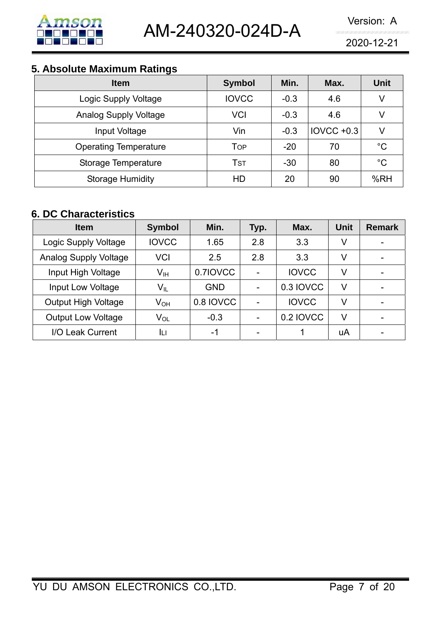

### **5. Absolute Maximum Ratings**

| <b>Item</b>                  | <b>Symbol</b> | Min.   | Max.              | <b>Unit</b> |
|------------------------------|---------------|--------|-------------------|-------------|
| Logic Supply Voltage         | <b>IOVCC</b>  | $-0.3$ | 4.6               | V           |
| <b>Analog Supply Voltage</b> | VCI           | $-0.3$ | 4.6               | V           |
| Input Voltage                | Vin           | $-0.3$ | <b>IOVCC +0.3</b> | V           |
| <b>Operating Temperature</b> | Top           | $-20$  | 70                | $^{\circ}C$ |
| Storage Temperature          | Tst           | $-30$  | 80                | $^{\circ}C$ |
| <b>Storage Humidity</b>      | HD            | 20     | 90                | %RH         |

### **6. DC Characteristics**

| <b>Item</b>                  | <b>Symbol</b>   | Min.       | Typ.           | Max.         |    | <b>Remark</b> |
|------------------------------|-----------------|------------|----------------|--------------|----|---------------|
| Logic Supply Voltage         | <b>IOVCC</b>    | 1.65       | 2.8            | 3.3          | V  |               |
| <b>Analog Supply Voltage</b> | <b>VCI</b>      | 2.5        | 2.8            | 3.3          | V  |               |
| Input High Voltage           | Vıн             | 0.7IOVCC   |                | <b>IOVCC</b> | V  |               |
| Input Low Voltage            | $V_{IL}$        | <b>GND</b> | $\blacksquare$ | 0.3 IOVCC    | V  |               |
| <b>Output High Voltage</b>   | V <sub>он</sub> | 0.8 IOVCC  |                | <b>IOVCC</b> | V  |               |
| <b>Output Low Voltage</b>    | V <sub>OL</sub> | $-0.3$     |                | 0.2 IOVCC    | V  |               |
| I/O Leak Current             | IЦ              | -1         | -              |              | uA |               |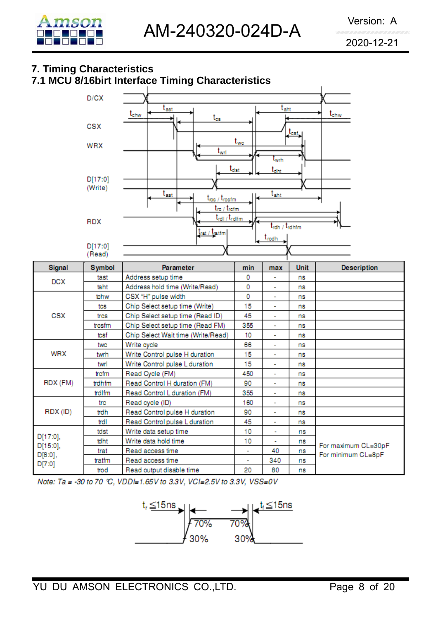

### **7. Timing Characteristics**

### **7.1 MCU 8/16birt Interface Timing Characteristics**



Note: Ta = -30 to 70 °C, VDDI=1.65V to 3.3V, VCI=2.5V to 3.3V, VSS=0V

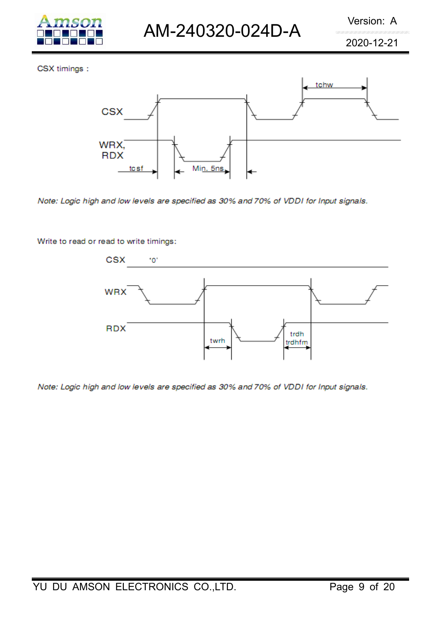

CSX timings:



Note: Logic high and low levels are specified as 30% and 70% of VDDI for Input signals.

Write to read or read to write timings:



Note: Logic high and low levels are specified as 30% and 70% of VDDI for Input signals.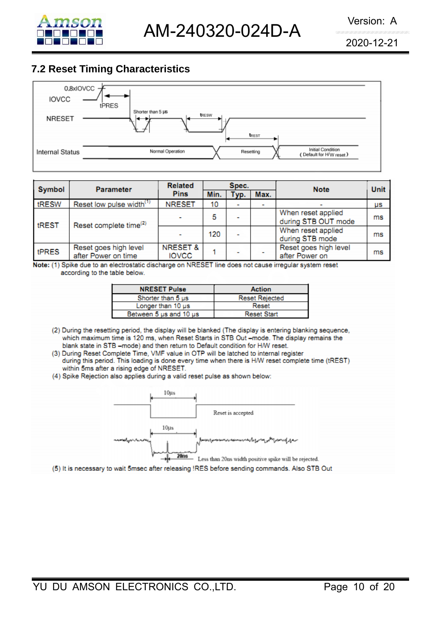

### **7.2 Reset Timing Characteristics**



| <b>Symbol</b> | <b>Parameter</b>                             | <b>Related</b>                      |      |      |      | <b>Note</b>                               | <b>Unit</b> |
|---------------|----------------------------------------------|-------------------------------------|------|------|------|-------------------------------------------|-------------|
|               |                                              | <b>Pins</b>                         | Min. | Typ. | Max. |                                           |             |
| tRESW         | Reset low pulse width <sup>(1)</sup>         | <b>NRESET</b>                       | 10   |      |      |                                           | μs          |
| tREST         | Reset complete time <sup>(2)</sup>           |                                     | 5    |      |      | When reset applied<br>during STB OUT mode | ms          |
|               |                                              |                                     | 120  |      |      | When reset applied<br>during STB mode     | ms          |
| tPRES         | Reset goes high level<br>after Power on time | <b>NRESET &amp;</b><br><b>IOVCC</b> |      |      |      | Reset goes high level<br>after Power on   | ms          |

Note: (1) Spike due to an electrostatic discharge on NRESET line does not cause irregular system reset according to the table below.

| <b>NRESET Pulse</b>    | <b>Action</b>         |
|------------------------|-----------------------|
| Shorter than 5 us      | <b>Reset Rejected</b> |
| Longer than 10 us      | Reset                 |
| Between 5 us and 10 us | <b>Reset Start</b>    |

- (2) During the resetting period, the display will be blanked (The display is entering blanking sequence, which maximum time is 120 ms, when Reset Starts in STB Out -mode. The display remains the blank state in STB -mode) and then return to Default condition for H/W reset.
- (3) During Reset Complete Time, VMF value in OTP will be latched to internal register during this period. This loading is done every time when there is H/W reset complete time (tREST) within 5ms after a rising edge of NRESET.
- (4) Spike Rejection also applies during a valid reset pulse as shown below:

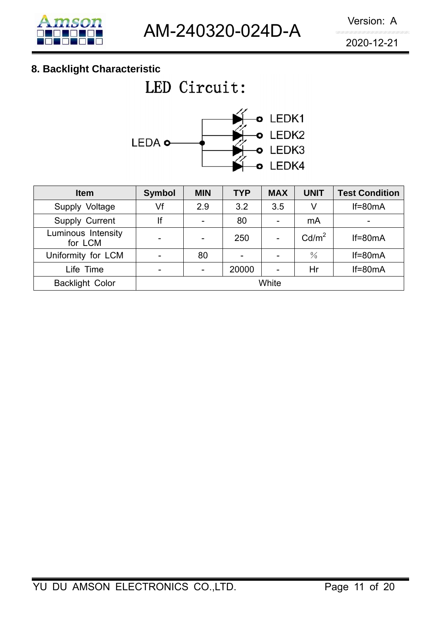### **8. Backlight Characteristic**

## LED Circuit:



| <b>Item</b>                   | <b>Symbol</b> | <b>MIN</b> | <b>TYP</b> | <b>MAX</b>      | <b>UNIT</b>       | <b>Test Condition</b>    |
|-------------------------------|---------------|------------|------------|-----------------|-------------------|--------------------------|
| Supply Voltage                | Vf            | 2.9        | 3.2        | 3.5             | V                 | $If=80mA$                |
| Supply Current                | lf            |            | 80         | $\blacksquare$  | mA                | $\overline{\phantom{0}}$ |
| Luminous Intensity<br>for LCM | -             |            | 250        | $\qquad \qquad$ | Cd/m <sup>2</sup> | $If=80mA$                |
| Uniformity for LCM            |               | 80         |            | -               | $\frac{0}{0}$     | $If=80mA$                |
| Life Time                     | -             |            | 20000      |                 | Hr                | $If=80mA$                |
| <b>Backlight Color</b>        | White         |            |            |                 |                   |                          |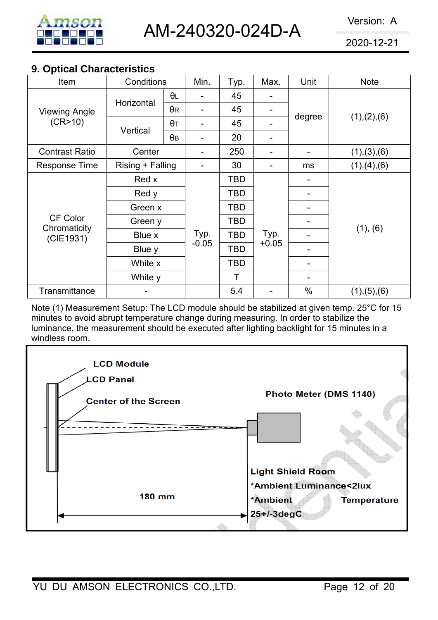

### **9. Optical Characteristics**

| Item                                         | Conditions                  |            | Min.            | Typ.       | Max.            | Unit          | <b>Note</b>   |  |
|----------------------------------------------|-----------------------------|------------|-----------------|------------|-----------------|---------------|---------------|--|
| <b>Viewing Angle</b>                         | Horizontal                  | $\theta$ L |                 | 45         |                 | degree        |               |  |
|                                              |                             | $\theta$ R |                 | 45         | -               |               | (1), (2), (6) |  |
| (CR>10)                                      | Vertical                    | $\theta$ T |                 | 45         | -               |               |               |  |
|                                              |                             | $\theta$ B |                 | 20         | ۰               |               |               |  |
| <b>Contrast Ratio</b>                        | Center                      |            |                 | 250        | -               |               | (1), (3), (6) |  |
| <b>Response Time</b>                         | Rising + Falling            |            |                 | 30         | ۰               | ms            | (1), (4), (6) |  |
|                                              | Red x                       |            |                 | TBD        |                 |               |               |  |
|                                              | Red y                       |            | Typ.<br>$-0.05$ | TBD        | Typ.<br>$+0.05$ |               | (1), (6)      |  |
|                                              | Green x                     |            |                 | TBD        |                 |               |               |  |
| <b>CF Color</b><br>Chromaticity<br>(CIE1931) | Green y<br>Blue x<br>Blue y |            |                 | TBD        |                 |               |               |  |
|                                              |                             |            |                 | <b>TBD</b> |                 |               |               |  |
|                                              |                             |            |                 | TBD        |                 |               |               |  |
|                                              | White x                     |            |                 | TBD        |                 |               |               |  |
|                                              | White y                     |            |                 | Τ          |                 |               |               |  |
| Transmittance                                |                             |            |                 | 5.4        |                 | $\frac{0}{0}$ | (1), (5), (6) |  |

Note (1) Measurement Setup: The LCD module should be stabilized at given temp. 25°C for 15 minutes to avoid abrupt temperature change during measuring. In order to stabilize the luminance, the measurement should be executed after lighting backlight for 15 minutes in a windless room.

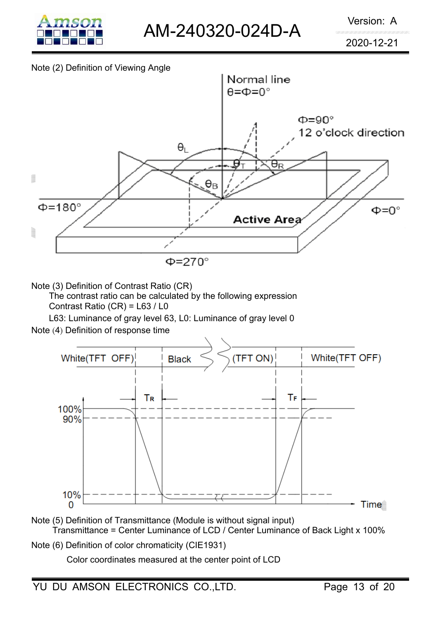

### Note (2) Definition of Viewing Angle



Note (3) Definition of Contrast Ratio (CR)

The contrast ratio can be calculated by the following expression Contrast Ratio (CR) = L63 / L0

L63: Luminance of gray level 63, L0: Luminance of gray level 0

Note (4) Definition of response time



- Note (5) Definition of Transmittance (Module is without signal input) Transmittance = Center Luminance of LCD / Center Luminance of Back Light x 100%
- Note (6) Definition of color chromaticity (CIE1931)

Color coordinates measured at the center point of LCD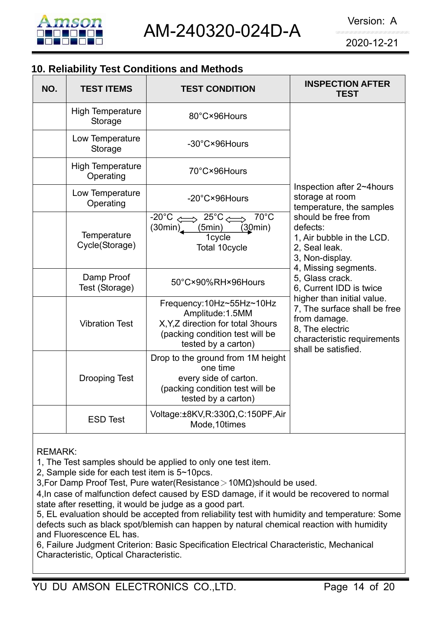

### **10. Reliability Test Conditions and Methods**

| NO. | <b>TEST ITEMS</b>                    | <b>TEST CONDITION</b>                                                                                                                                       | <b>INSPECTION AFTER</b><br><b>TEST</b>                                                                                                              |  |
|-----|--------------------------------------|-------------------------------------------------------------------------------------------------------------------------------------------------------------|-----------------------------------------------------------------------------------------------------------------------------------------------------|--|
|     | <b>High Temperature</b><br>Storage   | 80°C×96Hours                                                                                                                                                |                                                                                                                                                     |  |
|     | Low Temperature<br>Storage           | -30°C×96Hours                                                                                                                                               |                                                                                                                                                     |  |
|     | <b>High Temperature</b><br>Operating | 70°C×96Hours                                                                                                                                                |                                                                                                                                                     |  |
|     | Low Temperature<br>Operating         | -20°C×96Hours                                                                                                                                               | Inspection after 2~4hours<br>storage at room<br>temperature, the samples                                                                            |  |
|     | Temperature<br>Cycle(Storage)        | $70^{\circ}$ C<br>$-20^{\circ}$ C $\leq$<br>$\Rightarrow 25^\circ \text{C} \leftrightsquigarrow$<br>(30min)<br>(30min)<br>(5min)<br>1cycle<br>Total 10cycle | should be free from<br>defects:<br>1, Air bubble in the LCD.<br>2, Seal leak.<br>3, Non-display.                                                    |  |
|     | Damp Proof<br>Test (Storage)         | 50°C×90%RH×96Hours                                                                                                                                          | 4, Missing segments.<br>5, Glass crack.<br>6, Current IDD is twice                                                                                  |  |
|     | <b>Vibration Test</b>                | Frequency:10Hz~55Hz~10Hz<br>Amplitude: 1.5MM<br>X, Y, Z direction for total 3hours<br>(packing condition test will be<br>tested by a carton)                | higher than initial value.<br>7, The surface shall be free<br>from damage.<br>8, The electric<br>characteristic requirements<br>shall be satisfied. |  |
|     | <b>Drooping Test</b>                 | Drop to the ground from 1M height<br>one time<br>every side of carton.<br>(packing condition test will be<br>tested by a carton)                            |                                                                                                                                                     |  |
|     | <b>ESD Test</b>                      | Voltage:±8KV,R:330Ω,C:150PF,Air<br>Mode, 10times                                                                                                            |                                                                                                                                                     |  |

REMARK:

1, The Test samples should be applied to only one test item.

2, Sample side for each test item is 5~10pcs.

3,For Damp Proof Test, Pure water(Resistance>10MΩ)should be used.

4,In case of malfunction defect caused by ESD damage, if it would be recovered to normal state after resetting, it would be judge as a good part.

5, EL evaluation should be accepted from reliability test with humidity and temperature: Some defects such as black spot/blemish can happen by natural chemical reaction with humidity and Fluorescence EL has.

6, Failure Judgment Criterion: Basic Specification Electrical Characteristic, Mechanical Characteristic, Optical Characteristic.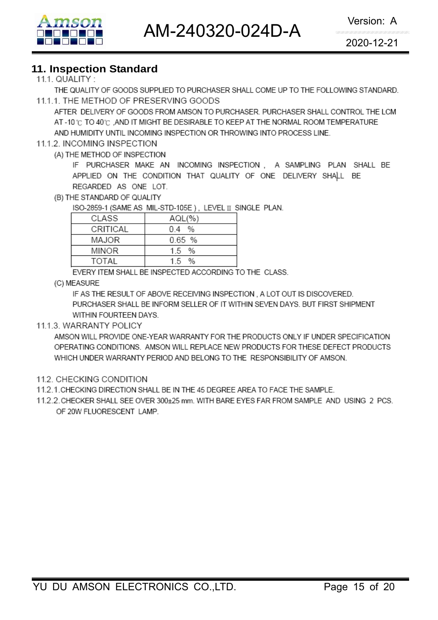AM-240320-024D-A Version: A



2020-12-21

## **11. Inspection Standard**

THE QUALITY OF GOODS SUPPLIED TO PURCHASER SHALL COME UP TO THE FOLLOWING STANDARD. 11.1.1. THE METHOD OF PRESERVING GOODS

AFTER DELIVERY OF GOODS FROM AMSON TO PURCHASER. PURCHASER SHALL CONTROL THE LCM AT -10 °C TO 40 °C .AND IT MIGHT BE DESIRABLE TO KEEP AT THE NORMAL ROOM TEMPERATURE AND HUMIDITY UNTIL INCOMING INSPECTION OR THROWING INTO PROCESS LINE.

### 11.1.2. INCOMING INSPECTION

(A) THE METHOD OF INSPECTION

IF PURCHASER MAKE AN INCOMING INSPECTION , A SAMPLING PLAN SHALL BE APPLIED ON THE CONDITION THAT QUALITY OF ONE DELIVERY SHALL BE REGARDED AS ONE LOT.

(B) THE STANDARD OF QUALITY

ISO-2859-1 (SAME AS MIL-STD-105E), LEVEL II SINGLE PLAN.

| CI ASS   | AQL(%  |
|----------|--------|
| CRITICAL | 04 %   |
| MAJOR    | 0.65 % |
| MINOR    | 1.5 %  |
| TOTAI    | 15 %   |

EVERY ITEM SHALL BE INSPECTED ACCORDING TO THE CLASS.

(C) MEASURE

IF AS THE RESULT OF ABOVE RECEIVING INSPECTION, A LOT OUT IS DISCOVERED. PURCHASER SHALL BE INFORM SELLER OF IT WITHIN SEVEN DAYS. BUT FIRST SHIPMENT WITHIN FOURTEEN DAYS.

### 11.1.3. WARRANTY POLICY

AMSON WILL PROVIDE ONE-YEAR WARRANTY FOR THE PRODUCTS ONLY IF UNDER SPECIFICATION OPERATING CONDITIONS. AMSON WILL REPLACE NEW PRODUCTS FOR THESE DEFECT PRODUCTS WHICH UNDER WARRANTY PERIOD AND BELONG TO THE RESPONSIBILITY OF AMSON.

- 11.2. CHECKING CONDITION
- 11.2.1. CHECKING DIRECTION SHALL BE IN THE 45 DEGREE AREA TO FACE THE SAMPLE.
- 11.2.2. CHECKER SHALL SEE OVER 300±25 mm. WITH BARE EYES FAR FROM SAMPLE AND USING 2 PCS. OF 20W FLUORESCENT LAMP.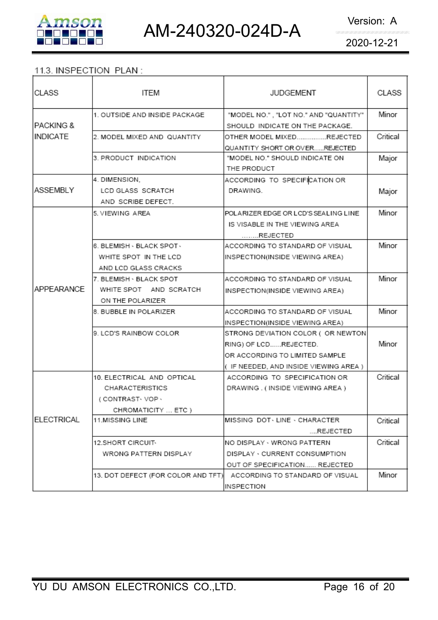

### 11.3. INSPECTION PLAN:

| CLASS             | ITEM                               | <b>JUDGEMENT</b>                                                         | CLASS    |
|-------------------|------------------------------------|--------------------------------------------------------------------------|----------|
| IPACKING &        | 1. OUTSIDE AND INSIDE PACKAGE      | "MODEL NO.", "LOT NO." AND "QUANTITY"<br>SHOULD INDICATE ON THE PACKAGE. | Minor    |
| INDICATE          | 2. MODEL MIXED AND QUANTITY        | OTHER MODEL MIXEDREJECTED                                                | Critical |
|                   |                                    | QUANTITY SHORT OR OVERREJECTED                                           |          |
|                   | 3. PRODUCT INDICATION              | "MODEL NO." SHOULD INDICATE ON                                           | Major    |
|                   |                                    | THE PRODUCT                                                              |          |
|                   | 4. DIMENSION,                      | ACCORDING TO SPECIFICATION OR                                            |          |
| ASSEMBLY          | LCD GLASS SCRATCH                  | DRAWING.                                                                 | Major    |
|                   | AND SCRIBE DEFECT.                 |                                                                          |          |
|                   | 5. VIEWING AREA                    | POLARIZER EDGE OR LCD'S SEALING LINE                                     | Minor    |
|                   |                                    | IS VISABLE IN THE VIEWING AREA                                           |          |
|                   |                                    | REJECTED                                                                 |          |
|                   | 6. BLEMISH - BLACK SPOT -          | ACCORDING TO STANDARD OF VISUAL                                          | Minor    |
|                   | WHITE SPOT IN THE LCD              | INSPECTION(INSIDE VIEWING AREA)                                          |          |
|                   | AND LCD GLASS CRACKS               |                                                                          |          |
|                   | l7. BLEMISH ⋅ BLACK SPOT           | ACCORDING TO STANDARD OF VISUAL                                          | Minor    |
| APPEARANCE        | WHITE SPOT AND SCRATCH             | INSPECTION(INSIDE VIEWING AREA)                                          |          |
|                   | ON THE POLARIZER                   |                                                                          |          |
|                   | 8. BUBBLE IN POLARIZER             | ACCORDING TO STANDARD OF VISUAL                                          | Minor    |
|                   |                                    | INSPECTION(INSIDE VIEWING AREA)                                          |          |
|                   | 9. LCD'S RAINBOW COLOR             | STRONG DEVIATION COLOR ( OR NEWTON)                                      |          |
|                   |                                    | RING) OF LCDREJECTED.                                                    | Minor    |
|                   |                                    | OR ACCORDING TO LIMITED SAMPLE                                           |          |
|                   |                                    | ( IF NEEDED, AND INSIDE VIEWING AREA )                                   |          |
|                   | 10. ELECTRICAL AND OPTICAL         | ACCORDING TO SPECIFICATION OR                                            | Critical |
|                   | CHARACTERISTICS                    | DRAWING. (INSIDE VIEWING AREA)                                           |          |
|                   | (CONTRAST-VOP-                     |                                                                          |          |
|                   | CHROMATICITY  ETC )                |                                                                          |          |
| <b>ELECTRICAL</b> | 11.MISSING LINE                    | MISSING DOT LINE . CHARACTER                                             | Critical |
|                   |                                    | REJECTED                                                                 |          |
|                   | 12.SHORT CIRCUIT <sub>`</sub>      | NO DISPLAY - WRONG PATTERN                                               | Critical |
|                   | WRONG PATTERN DISPLAY              | DISPLAY · CURRENT CONSUMPTION                                            |          |
|                   |                                    | OUT OF SPECIFICATION REJECTED                                            |          |
|                   | 13. DOT DEFECT (FOR COLOR AND TFT) | ACCORDING TO STANDARD OF VISUAL                                          | Minor    |
|                   |                                    | INSPECTION                                                               |          |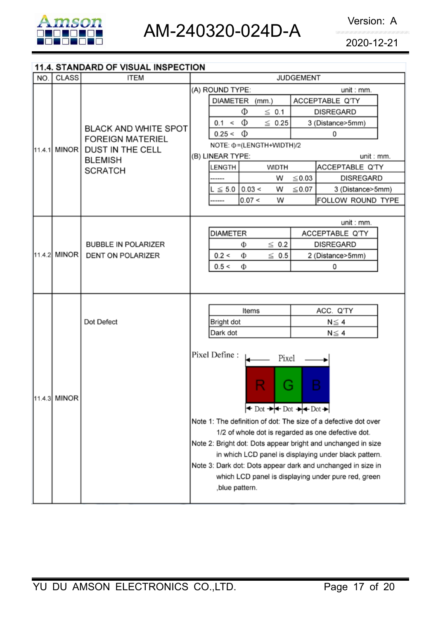

### 11.4. STANDARD OF VISUAL INSPECTION

| NO.    | <b>CLASS</b> | <b>ITEM</b>                                                                                                           | <b>JUDGEMENT</b>                                                                                                   |  |  |  |
|--------|--------------|-----------------------------------------------------------------------------------------------------------------------|--------------------------------------------------------------------------------------------------------------------|--|--|--|
|        |              |                                                                                                                       | (A) ROUND TYPE:<br>unit : mm.                                                                                      |  |  |  |
|        |              |                                                                                                                       | DIAMETER (mm.)<br>ACCEPTABLE Q'TY                                                                                  |  |  |  |
|        |              | <b>BLACK AND WHITE SPOT</b><br><b>FOREIGN MATERIEL</b><br><b>DUST IN THE CELL</b><br><b>BLEMISH</b><br><b>SCRATCH</b> | Φ<br>$\leq$ 0.1<br><b>DISREGARD</b>                                                                                |  |  |  |
|        |              |                                                                                                                       | Ф<br>0.1 <<br>$\leq 0.25$<br>3 (Distance>5mm)                                                                      |  |  |  |
|        |              |                                                                                                                       | $0.25 < \Phi$<br>0                                                                                                 |  |  |  |
| 11.4.1 | MINOR I      |                                                                                                                       | NOTE: $\Phi$ = (LENGTH+WIDTH)/2                                                                                    |  |  |  |
|        |              |                                                                                                                       | (B) LINEAR TYPE:<br>unit : mm.                                                                                     |  |  |  |
|        |              |                                                                                                                       | ACCEPTABLE Q'TY<br>LENGTH<br><b>WIDTH</b>                                                                          |  |  |  |
|        |              |                                                                                                                       | W<br>$\leq$ 0.03<br><b>DISREGARD</b>                                                                               |  |  |  |
|        |              |                                                                                                                       | $L \le 5.0$ 0.03 <<br>$\leq 0.07$<br>W<br>3 (Distance>5mm)                                                         |  |  |  |
|        |              |                                                                                                                       | 0.07 <<br>W<br>FOLLOW ROUND TYPE<br>-----                                                                          |  |  |  |
|        |              |                                                                                                                       |                                                                                                                    |  |  |  |
|        |              |                                                                                                                       | unit : mm.                                                                                                         |  |  |  |
|        |              | <b>BUBBLE IN POLARIZER</b><br><b>DENT ON POLARIZER</b>                                                                | <b>DIAMETER</b><br>ACCEPTABLE Q'TY                                                                                 |  |  |  |
|        | 11.4.2 MINOR |                                                                                                                       | $\leq$ 0.2<br><b>DISREGARD</b><br>Φ                                                                                |  |  |  |
|        |              |                                                                                                                       | 0.2 <<br>$\leq 0.5$<br>Φ<br>2 (Distance>5mm)                                                                       |  |  |  |
|        |              |                                                                                                                       | 0.5 <<br>Ф<br>0                                                                                                    |  |  |  |
|        |              |                                                                                                                       |                                                                                                                    |  |  |  |
|        |              |                                                                                                                       |                                                                                                                    |  |  |  |
|        |              | Dot Defect                                                                                                            | Items<br>ACC. Q'TY                                                                                                 |  |  |  |
|        |              |                                                                                                                       | Bright dot<br>$N \leq 4$                                                                                           |  |  |  |
|        |              |                                                                                                                       | Dark dot<br>$N \leq 4$                                                                                             |  |  |  |
|        |              |                                                                                                                       |                                                                                                                    |  |  |  |
|        |              |                                                                                                                       | Pixel Define :<br>Pixel                                                                                            |  |  |  |
|        |              |                                                                                                                       |                                                                                                                    |  |  |  |
|        |              |                                                                                                                       | B                                                                                                                  |  |  |  |
|        |              |                                                                                                                       | ä                                                                                                                  |  |  |  |
|        | 11.4.3 MINOR |                                                                                                                       | $\leftrightarrow$ Dot $\rightarrow$ $\leftrightarrow$ Dot $\rightarrow$ $\leftrightarrow$ Dot $\rightarrow$        |  |  |  |
|        |              |                                                                                                                       |                                                                                                                    |  |  |  |
|        |              | Note 1: The definition of dot: The size of a defective dot over                                                       |                                                                                                                    |  |  |  |
|        |              | 1/2 of whole dot is regarded as one defective dot.                                                                    |                                                                                                                    |  |  |  |
|        |              | Note 2: Bright dot: Dots appear bright and unchanged in size                                                          |                                                                                                                    |  |  |  |
|        |              |                                                                                                                       | in which LCD panel is displaying under black pattern.                                                              |  |  |  |
|        |              |                                                                                                                       | Note 3: Dark dot: Dots appear dark and unchanged in size in<br>which LCD panel is displaying under pure red, green |  |  |  |
|        |              |                                                                                                                       | , blue pattern.                                                                                                    |  |  |  |
|        |              |                                                                                                                       |                                                                                                                    |  |  |  |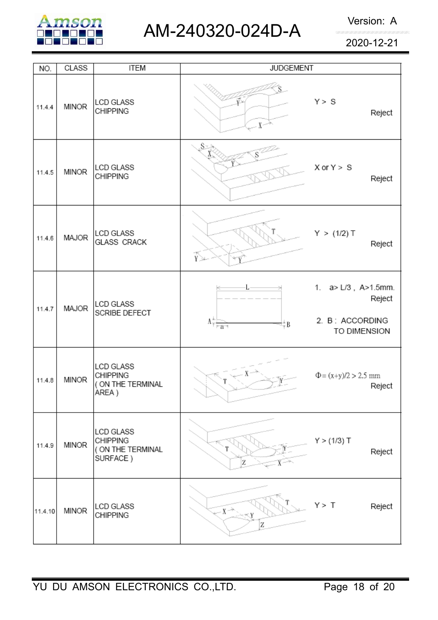

AM-240320-024D-A Version: A

2020-12-21

| NO.     | <b>CLASS</b> | <b>ITEM</b>                                                       | <b>JUDGEMENT</b>                                                                 |                                                                  |
|---------|--------------|-------------------------------------------------------------------|----------------------------------------------------------------------------------|------------------------------------------------------------------|
| 11.4.4  | <b>MINOR</b> | <b>LCD GLASS</b><br><b>CHIPPING</b>                               | $X^{\sim}$                                                                       | Y > S<br>Reject                                                  |
| 11.4.5  | <b>MINOR</b> | <b>LCD GLASS</b><br><b>CHIPPING</b>                               | S×                                                                               | $X$ or $Y > S$<br>Reject                                         |
| 11.4.6  | MAJOR        | <b>LCD GLASS</b><br><b>GLASS CRACK</b>                            | $\widetilde{\mathbb{Y}}$                                                         | Y > (1/2) T<br>Reject                                            |
| 11.4.7  | MAJOR        | <b>LCD GLASS</b><br>SCRIBE DEFECT                                 | $\Lambda_{\overline{\uparrow} \, \overline{\mid \neg a \rightarrow \mid}}$<br>÷Β | 1. a> L/3, A>1.5mm.<br>Reject<br>2. B: ACCORDING<br>TO DIMENSION |
| 11.4.8  | <b>MINOR</b> | <b>LCD GLASS</b><br><b>CHIPPING</b><br>( ON THE TERMINAL<br>AREA) |                                                                                  | $\Phi = (x+y)/2 > 2.5$ mm<br>Reject                              |
| 11.4.9  | <b>MINOR</b> | LCD GLASS<br><b>CHIPPING</b><br>( ON THE TERMINAL<br>SURFACE)     | Z                                                                                | Y > (1/3) T<br>Reject                                            |
| 11.4.10 | <b>MINOR</b> | LCD GLASS<br>CHIPPING                                             | $X \rightarrow$<br>Z                                                             | Y > T<br>Reject                                                  |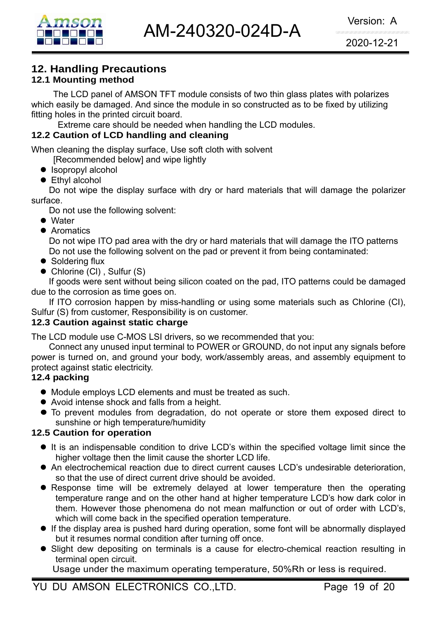### **12. Handling Precautions**

### **12.1 Mounting method**

The LCD panel of AMSON TFT module consists of two thin glass plates with polarizes which easily be damaged. And since the module in so constructed as to be fixed by utilizing fitting holes in the printed circuit board.

Extreme care should be needed when handling the LCD modules.

### **12.2 Caution of LCD handling and cleaning**

When cleaning the display surface, Use soft cloth with solvent

[Recommended below] and wipe lightly

- Isopropyl alcohol
- $\bullet$  Ethyl alcohol

 Do not wipe the display surface with dry or hard materials that will damage the polarizer surface.

Do not use the following solvent:

- Water
- Aromatics

 Do not wipe ITO pad area with the dry or hard materials that will damage the ITO patterns Do not use the following solvent on the pad or prevent it from being contaminated:

- Soldering flux
- $\bullet$  Chlorine (CI), Sulfur (S)

If goods were sent without being silicon coated on the pad, ITO patterns could be damaged due to the corrosion as time goes on.

If ITO corrosion happen by miss-handling or using some materials such as Chlorine (CI), Sulfur (S) from customer, Responsibility is on customer.

### **12.3 Caution against static charge**

The LCD module use C-MOS LSI drivers, so we recommended that you:

Connect any unused input terminal to POWER or GROUND, do not input any signals before power is turned on, and ground your body, work/assembly areas, and assembly equipment to protect against static electricity.

### **12.4 packing**

- $\bullet$  Module employs LCD elements and must be treated as such.
- Avoid intense shock and falls from a height.
- $\bullet$  To prevent modules from degradation, do not operate or store them exposed direct to sunshine or high temperature/humidity

### **12.5 Caution for operation**

- It is an indispensable condition to drive LCD's within the specified voltage limit since the higher voltage then the limit cause the shorter LCD life.
- An electrochemical reaction due to direct current causes LCD's undesirable deterioration, so that the use of direct current drive should be avoided.
- Response time will be extremely delayed at lower temperature then the operating temperature range and on the other hand at higher temperature LCD's how dark color in them. However those phenomena do not mean malfunction or out of order with LCD's, which will come back in the specified operation temperature.
- $\bullet$  If the display area is pushed hard during operation, some font will be abnormally displayed but it resumes normal condition after turning off once.
- Slight dew depositing on terminals is a cause for electro-chemical reaction resulting in terminal open circuit.

Usage under the maximum operating temperature, 50%Rh or less is required.